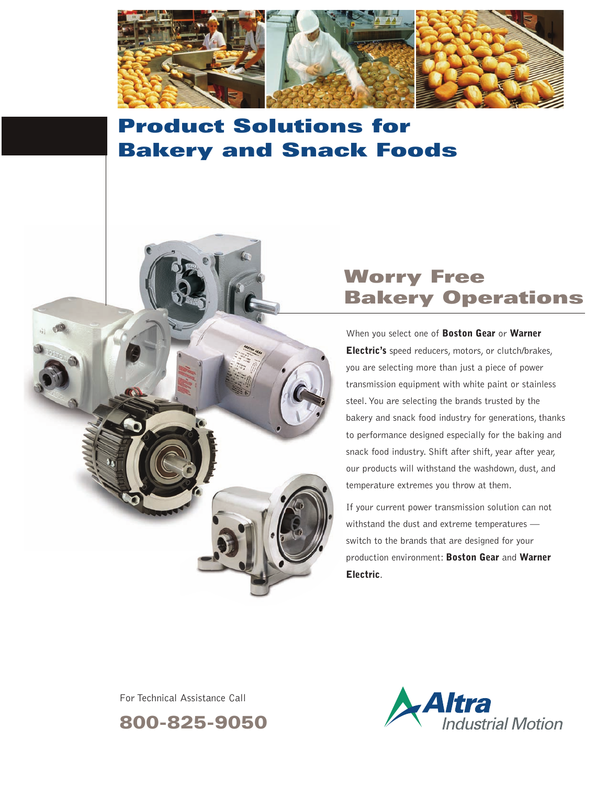

# **Product Solutions for Bakery and Snack Foods**



## **Worry Free Bakery Operations**

When you select one of **Boston Gear** or **Warner Electric's** speed reducers, motors, or clutch/brakes, you are selecting more than just a piece of power transmission equipment with white paint or stainless steel. You are selecting the brands trusted by the bakery and snack food industry for generations, thanks to performance designed especially for the baking and snack food industry. Shift after shift, year after year, our products will withstand the washdown, dust, and temperature extremes you throw at them.

If your current power transmission solution can not withstand the dust and extreme temperatures – switch to the brands that are designed for your production environment: **Boston Gear** and **Warner Electric**.

For Technical Assistance Call

**800-825-9050**